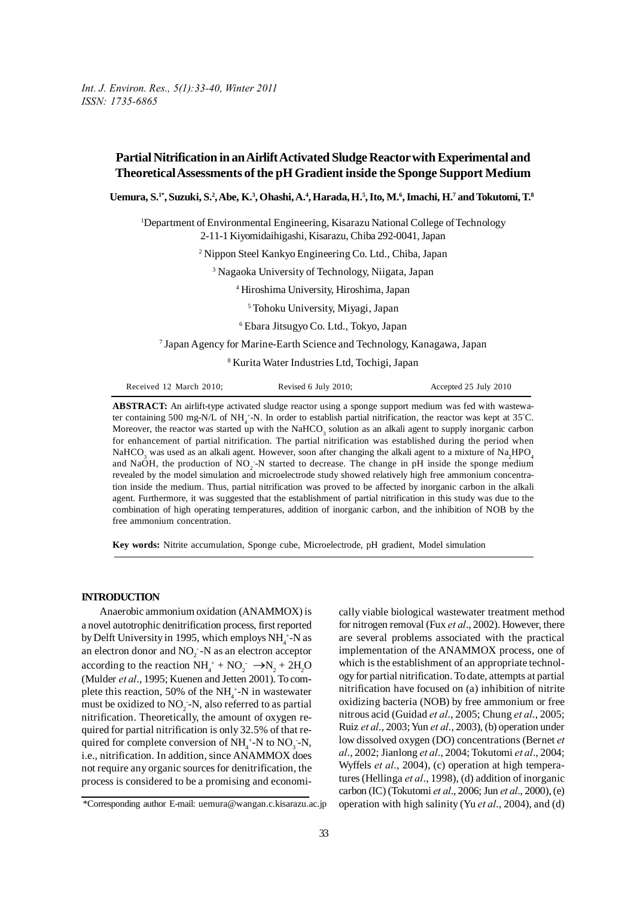*Int. J. Environ. Res., 5(1):33-40, Winter 2011 ISSN: 1735-6865*

# **Partial Nitrification in an Airlift Activated Sludge Reactor with Experimental and Theoretical Assessments of the pH Gradient inside the Sponge Support Medium**

**Uemura, S.1\*, Suzuki, S.2 , Abe, K.3 , Ohashi, A.4 , Harada, H.5 , Ito, M.6 , Imachi, H.7 and Tokutomi, T.8**

<sup>1</sup>Department of Environmental Engineering, Kisarazu National College of Technology 2-11-1 Kiyomidaihigashi, Kisarazu, Chiba 292-0041, Japan

2 Nippon Steel Kankyo Engineering Co. Ltd., Chiba, Japan

3 Nagaoka University of Technology, Niigata, Japan

4 Hiroshima University, Hiroshima, Japan

5 Tohoku University, Miyagi, Japan

6 Ebara Jitsugyo Co. Ltd., Tokyo, Japan

7 Japan Agency for Marine-Earth Science and Technology, Kanagawa, Japan

8 Kurita Water Industries Ltd, Tochigi, Japan

|  | Received 12 March 2010; | Revised 6 July 2010; | Accepted 25 July 2010 |
|--|-------------------------|----------------------|-----------------------|
|--|-------------------------|----------------------|-----------------------|

**ABSTRACT:** An airlift-type activated sludge reactor using a sponge support medium was fed with wastewater containing 500 mg-N/L of NH<sub>4</sub><sup>+</sup>-N. In order to establish partial nitrification, the reactor was kept at 35<sup>°</sup>C. Moreover, the reactor was started up with the NaHCO<sub>3</sub> solution as an alkali agent to supply inorganic carbon for enhancement of partial nitrification. The partial nitrification was established during the period when NaHCO<sub>3</sub> was used as an alkali agent. However, soon after changing the alkali agent to a mixture of Na<sub>2</sub>HPO<sub>4</sub> and NaOH, the production of  $NO<sub>2</sub>$ -N started to decrease. The change in pH inside the sponge medium revealed by the model simulation and microelectrode study showed relatively high free ammonium concentration inside the medium. Thus, partial nitrification was proved to be affected by inorganic carbon in the alkali agent. Furthermore, it was suggested that the establishment of partial nitrification in this study was due to the combination of high operating temperatures, addition of inorganic carbon, and the inhibition of NOB by the free ammonium concentration.

**Key words:** Nitrite accumulation, Sponge cube, Microelectrode, pH gradient, Model simulation

### **INTRODUCTION**

Anaerobic ammonium oxidation (ANAMMOX) is a novel autotrophic denitrification process, first reported by Delft University in 1995, which employs  $NH_4^+$ -N as an electron donor and  $NO_2^-$ -N as an electron acceptor according to the reaction  $NH_4^+ + NO_2^- \rightarrow N_2 + 2H_2O$ (Mulder *et al*., 1995; Kuenen and Jetten 2001). To complete this reaction, 50% of the  $NH_4^+$ -N in wastewater must be oxidized to NO<sub>2</sub>-N, also referred to as partial nitrification. Theoretically, the amount of oxygen required for partial nitrification is only 32.5% of that required for complete conversion of  $NH_4^+$ -N to  $NO_3^-$ -N, i.e., nitrification. In addition, since ANAMMOX does not require any organic sources for denitrification, the process is considered to be a promising and economically viable biological wastewater treatment method for nitrogen removal (Fux *et al*., 2002). However, there are several problems associated with the practical implementation of the ANAMMOX process, one of which is the establishment of an appropriate technology for partial nitrification. To date, attempts at partial nitrification have focused on (a) inhibition of nitrite oxidizing bacteria (NOB) by free ammonium or free nitrous acid (Guidad *et al*., 2005; Chung *et al*., 2005; Ruiz *et al*., 2003; Yun *et al*., 2003), (b) operation under low dissolved oxygen (DO) concentrations (Bernet *et al*., 2002; Jianlong *et al*., 2004; Tokutomi *et al*., 2004; Wyffels *et al*., 2004), (c) operation at high temperatures (Hellinga *et al*., 1998), (d) addition of inorganic carbon (IC) (Tokutomi *et al*., 2006; Jun *et al*., 2000), (e) operation with high salinity (Yu *et al*., 2004), and (d)

<sup>\*</sup>Corresponding author E-mail: uemura@wangan.c.kisarazu.ac.jp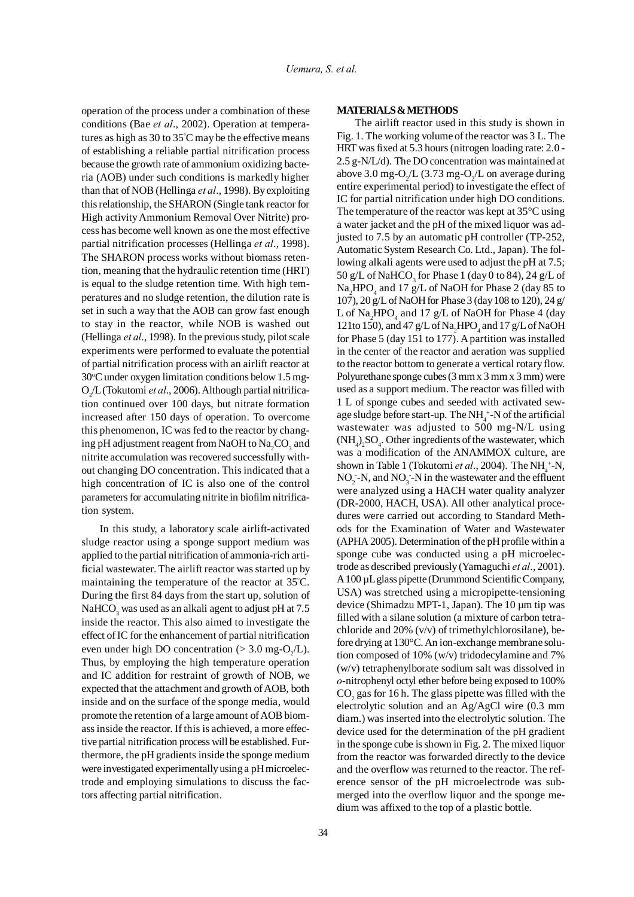operation of the process under a combination of these conditions (Bae *et al*., 2002). Operation at temperatures as high as 30 to 35° C may be the effective means of establishing a reliable partial nitrification process because the growth rate of ammonium oxidizing bacteria (AOB) under such conditions is markedly higher than that of NOB (Hellinga *et al*., 1998). By exploiting this relationship, the SHARON (Single tank reactor for High activity Ammonium Removal Over Nitrite) process has become well known as one the most effective partial nitrification processes (Hellinga *et al*., 1998). The SHARON process works without biomass retention, meaning that the hydraulic retention time (HRT) is equal to the sludge retention time. With high temperatures and no sludge retention, the dilution rate is set in such a way that the AOB can grow fast enough to stay in the reactor, while NOB is washed out (Hellinga *et al*., 1998). In the previous study, pilot scale experiments were performed to evaluate the potential of partial nitrification process with an airlift reactor at 30°C under oxygen limitation conditions below 1.5 mg-O2 /L (Tokutomi *et al*., 2006). Although partial nitrification continued over 100 days, but nitrate formation increased after 150 days of operation. To overcome this phenomenon, IC was fed to the reactor by changing pH adjustment reagent from NaOH to  $\mathrm{Na_{2}CO_{3}}$  and nitrite accumulation was recovered successfully without changing DO concentration. This indicated that a high concentration of IC is also one of the control parameters for accumulating nitrite in biofilm nitrification system.

In this study, a laboratory scale airlift-activated sludge reactor using a sponge support medium was applied to the partial nitrification of ammonia-rich artificial wastewater. The airlift reactor was started up by maintaining the temperature of the reactor at 35° C. During the first 84 days from the start up, solution of NaHCO $_3$  was used as an alkali agent to adjust pH at 7.5  $\,$ inside the reactor. This also aimed to investigate the effect of IC for the enhancement of partial nitrification even under high DO concentration ( $>$  3.0 mg-O<sub>2</sub>/L). Thus, by employing the high temperature operation and IC addition for restraint of growth of NOB, we expected that the attachment and growth of AOB, both inside and on the surface of the sponge media, would promote the retention of a large amount of AOB biomass inside the reactor. If this is achieved, a more effective partial nitrification process will be established. Furthermore, the pH gradients inside the sponge medium were investigated experimentally using a pH microelectrode and employing simulations to discuss the factors affecting partial nitrification.

# **MATERIALS & METHODS**

The airlift reactor used in this study is shown in Fig. 1. The working volume of the reactor was 3 L. The HRT was fixed at 5.3 hours (nitrogen loading rate: 2.0 - 2.5 g-N/L/d). The DO concentration was maintained at above 3.0 mg-O<sub>2</sub>/L (3.73 mg-O<sub>2</sub>/L on average during entire experimental period) to investigate the effect of IC for partial nitrification under high DO conditions. The temperature of the reactor was kept at 35°C using a water jacket and the pH of the mixed liquor was adjusted to 7.5 by an automatic pH controller (TP-252, Automatic System Research Co. Ltd., Japan). The following alkali agents were used to adjust the pH at 7.5; 50 g/L of NaHCO<sub>3</sub> for Phase 1 (day 0 to 84), 24 g/L of Na<sub>2</sub>HPO<sub>4</sub> and 17 g/L of NaOH for Phase 2 (day 85 to 107), 20 g/L of NaOH for Phase 3 (day 108 to 120), 24 g/ L of  $\text{Na}_{2}\text{HPO}_{4}$  and 17 g/L of NaOH for Phase 4 (day 121to 150), and 47  $g/L$  of  $Na<sub>2</sub>HPO<sub>4</sub>$  and 17  $g/L$  of NaOH for Phase 5 (day 151 to 177). A partition was installed in the center of the reactor and aeration was supplied to the reactor bottom to generate a vertical rotary flow. Polyurethane sponge cubes (3 mm x 3 mm x 3 mm) were used as a support medium. The reactor was filled with 1 L of sponge cubes and seeded with activated sewage sludge before start-up. The  $NH_4^+$ -N of the artificial wastewater was adjusted to 500 mg-N/L using  $(NH_4)_2SO_4$ . Other ingredients of the wastewater, which was a modification of the ANAMMOX culture, are shown in Table 1 (Tokutomi *et al.*, 2004). The NH<sub>4</sub>+-N,  $NO_2$  -N, and  $NO_3$  -N in the wastewater and the effluent were analyzed using a HACH water quality analyzer (DR-2000, HACH, USA). All other analytical procedures were carried out according to Standard Methods for the Examination of Water and Wastewater (APHA 2005). Determination of the pH profile within a sponge cube was conducted using a pH microelectrode as described previously (Yamaguchi *et al*., 2001). A 100 µL glass pipette (Drummond Scientific Company, USA) was stretched using a micropipette-tensioning device (Shimadzu MPT-1, Japan). The 10 µm tip was filled with a silane solution (a mixture of carbon tetrachloride and 20% (v/v) of trimethylchlorosilane), before drying at 130°C. An ion-exchange membrane solution composed of 10% (w/v) tridodecylamine and 7% (w/v) tetraphenylborate sodium salt was dissolved in *o*-nitrophenyl octyl ether before being exposed to 100%  $\rm CO_2$  gas for 16 h. The glass pipette was filled with the electrolytic solution and an Ag/AgCl wire (0.3 mm diam.) was inserted into the electrolytic solution. The device used for the determination of the pH gradient in the sponge cube is shown in Fig. 2. The mixed liquor from the reactor was forwarded directly to the device and the overflow was returned to the reactor. The reference sensor of the pH microelectrode was submerged into the overflow liquor and the sponge medium was affixed to the top of a plastic bottle.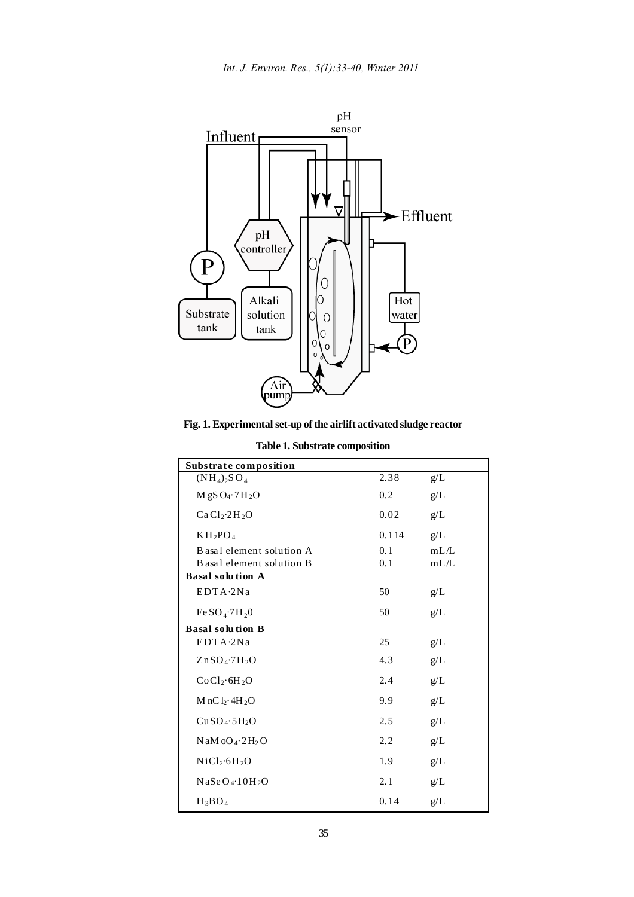

**Fig. 1. Experimental set-up of the airlift activated sludge reactor**

| Substrate composition                                  |            |              |
|--------------------------------------------------------|------------|--------------|
| $(NH_4)$ <sub>2</sub> SO <sub>4</sub>                  | 2.38       | $g/L$        |
| $M$ gS O <sub>4</sub> .7H <sub>2</sub> O               | 0.2        | g/L          |
| CaCl <sub>2</sub> ·2H <sub>2</sub> O                   | 0.02       | g/L          |
| $KH_2PO_4$                                             | 0.114      | g/L          |
| B asal element solution A<br>B asal element solution B | 0.1<br>0.1 | mL/L<br>mL/L |
| <b>Basal solution A</b>                                |            |              |
| EDTA.2Na                                               | 50         | g/L          |
| Fe SO <sub>4</sub> ·7H <sub>2</sub> 0                  | 50         | g/L          |
| <b>Basal solution B</b>                                |            |              |
| EDTA-2Na                                               | 25         | g/L          |
| $ZnSO_4$ -7H <sub>2</sub> O                            | 4.3        | g/L          |
| CoCl <sub>2</sub> ·6H <sub>2</sub> O                   | 2.4        | g/L          |
| $M nCl_2 \cdot 4H_2O$                                  | 9.9        | g/L          |
| CuSO <sub>4</sub> ·5H <sub>2</sub> O                   | 2.5        | g/L          |
| $N$ aM oO <sub>4</sub> $\cdot$ 2H <sub>2</sub> O       | 2.2        | $g/L$        |
| NiCl <sub>2</sub> ·6H <sub>2</sub> O                   | 1.9        | g/L          |
| $N$ aSeO <sub>4</sub> .10H <sub>2</sub> O              | 2.1        | g/L          |
| $H_3BO_4$                                              | 0.14       | g/L          |

**Table 1. Substrate composition**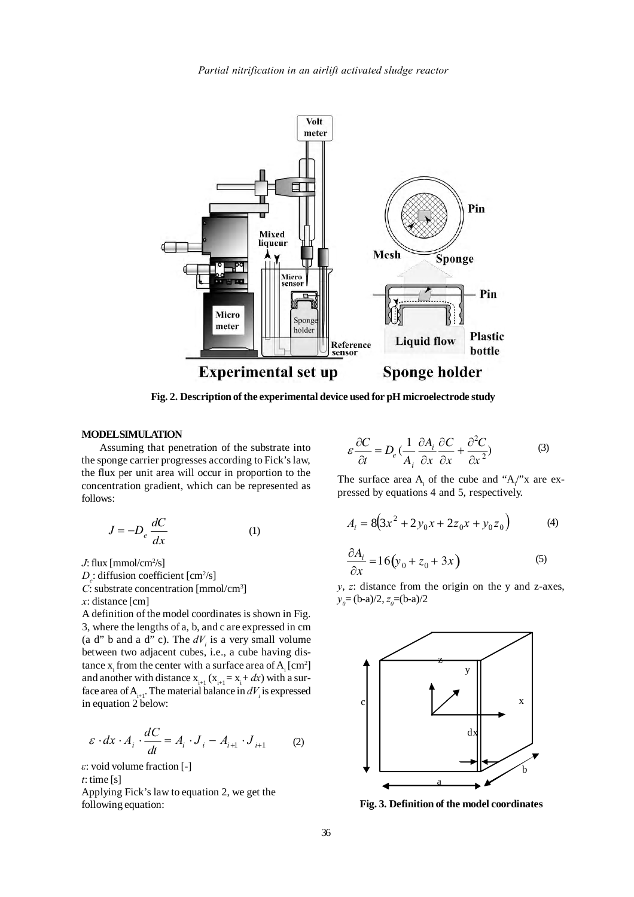

**Fig. 2. Description of the experimental device used for pH microelectrode study**

# **MODEL SIMULATION**

Assuming that penetration of the substrate into the sponge carrier progresses according to Fick's law, the flux per unit area will occur in proportion to the concentration gradient, which can be represented as follows:

$$
J = -D_e \frac{dC}{dx} \tag{1}
$$

*J*: flux [mmol/cm2 /s]

 $D_e$ : diffusion coefficient [cm<sup>2</sup>/s]

*C*: substrate concentration [mmol/cm3 ]

*x*: distance [cm]

3, where the lengths of a, b, and c are expressed in cm A definition of the model coordinates is shown in Fig. (a d" b and a d" c). The  $dV_i$  is a very small volume between two adjacent cubes, i.e., a cube having distance  $x_i$  from the center with a surface area of  $A_i$  [cm<sup>2</sup>] and another with distance  $x_{i+1}$  ( $x_{i+1} = x_i + dx$ ) with a surface area of  $A_{i+1}$ . The material balance in  $dV_i$  is expressed in equation 2 below:

$$
\varepsilon \cdot dx \cdot A_i \cdot \frac{dC}{dt} = A_i \cdot J_i - A_{i+1} \cdot J_{i+1} \tag{2}
$$

*ε*: void volume fraction [-] *t*: time [s]

Applying Fick's law to equation 2, we get the following equation:

$$
\varepsilon \frac{\partial C}{\partial t} = D_e \left( \frac{1}{A_i} \frac{\partial A_i}{\partial x} \frac{\partial C}{\partial x} + \frac{\partial^2 C}{\partial x^2} \right)
$$
 (3)

The surface area  $A_i$  of the cube and " $A_i$ " x are expressed by equations 4 and 5, respectively.

$$
A_i = 8(3x^2 + 2y_0x + 2z_0x + y_0z_0)
$$
 (4)

$$
\frac{\partial A_i}{\partial x} = 16(y_0 + z_0 + 3x)
$$
 (5)

*y*, *z*: distance from the origin on the y and z-axes,  $y_0 = (b-a)/2, z_0 = (b-a)/2$ 



**Fig. 3. Definition of the model coordinates**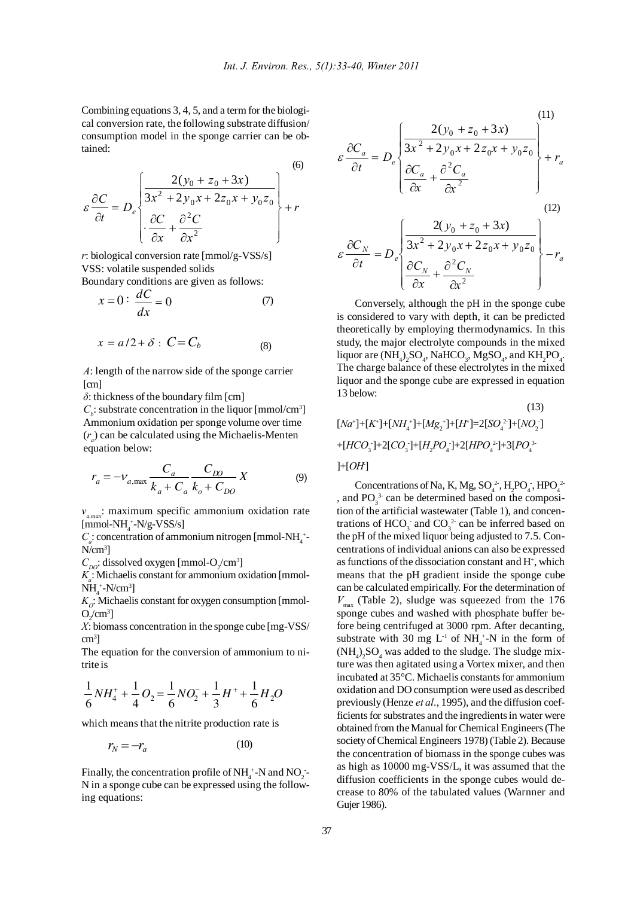$(6)$ 

Combining equations 3, 4, 5, and a term for the biological conversion rate, the following substrate diffusion/ consumption model in the sponge carrier can be obtained:

$$
\varepsilon \frac{\partial C}{\partial t} = D_e \begin{bmatrix} \frac{2(y_0 + z_0 + 3x)}{3x^2 + 2y_0x + 2z_0x + y_0z_0} \\ \frac{\partial C}{\partial x} + \frac{\partial^2 C}{\partial x^2} \end{bmatrix} + r
$$

*r*: biological conversion rate [mmol/g-VSS/s] VSS: volatile suspended solids Boundary conditions are given as follows:

$$
x = 0: \frac{dC}{dx} = 0 \tag{7}
$$

$$
x = a/2 + \delta : C = C_b \tag{8}
$$

 *A*: length of the narrow side of the sponge carrier [cm]

*δ*: thickness of the boundary film [cm]

 $C_b$ : substrate concentration in the liquor [mmol/cm<sup>3</sup>] Ammonium oxidation per sponge volume over time  $(r_a)$  can be calculated using the Michaelis-Menten equation below:

$$
r_a = -v_{a,\text{max}} \frac{C_a}{k_a + C_a} \frac{C_{D0}}{k_o + C_{D0}} X
$$
 (9)

*νa,max*: maximum specific ammonium oxidation rate  $[mmol-NH<sub>4</sub><sup>+</sup>-N/g-VSS/s]$ 

 $C_a$ : concentration of ammonium nitrogen [mmol-NH<sub>4</sub><sup>+</sup>- $N/cm^3$ ]

 $C_{\text{DO}}$ : dissolved oxygen [mmol-O<sub>2</sub>/cm<sup>3</sup>]

*Ka* : Michaelis constant for ammonium oxidation [mmol- $NH<sub>4</sub><sup>+</sup>-N/cm<sup>3</sup>]$ 

 $K_{\mathcal{O}}$ : Michaelis constant for oxygen consumption [mmol- $O_2$ /cm<sup>3</sup>]

*X*: biomass concentration in the sponge cube [mg-VSS/ cm3 ]

The equation for the conversion of ammonium to nitrite is

$$
\frac{1}{6}NH_4^+ + \frac{1}{4}O_2 = \frac{1}{6}NO_2^- + \frac{1}{3}H^+ + \frac{1}{6}H_2O
$$

which means that the nitrite production rate is

$$
r_N = -r_a \tag{10}
$$

Finally, the concentration profile of  $NH_4^+$ -N and  $NO_2^-$ -N in a sponge cube can be expressed using the following equations:

$$
\varepsilon \frac{\partial C_a}{\partial t} = D_e \begin{cases} \frac{2(y_0 + z_0 + 3x)}{3x^2 + 2y_0x + 2z_0x + y_0z_0} \\ \frac{\partial C_a}{\partial x} + \frac{\partial^2 C_a}{\partial x^2} \end{cases} + r_a
$$
\n(11)\n(12)

$$
\varepsilon \frac{\partial C_N}{\partial t} = D_e \left\{ \frac{2(y_0 + z_0 + 3x)}{3x^2 + 2y_0x + 2z_0x + y_0z_0} \right\} - r_a
$$

Conversely, although the pH in the sponge cube is considered to vary with depth, it can be predicted theoretically by employing thermodynamics. In this study, the major electrolyte compounds in the mixed liquor are  $(\text{NH}_4)_2\text{SO}_4$ , NaHCO<sub>3</sub>, MgSO<sub>4</sub>, and KH<sub>2</sub>PO<sub>4</sub>. The charge balance of these electrolytes in the mixed liquor and the sponge cube are expressed in equation 13 below:

 $[Na^+] + [K^+] + [NH_4^+] + [Mg_2^+] + [H^+] = 2[SO_4^2] + [NO_2]$ +[*HCO*<sub>3</sub></sub>]+2[*CO*<sub>3</sub><sup>]</sup>+[*H<sub>2</sub>PO*<sub>4</sub><sup>]</sup>+2[*HPO*<sub>4</sub><sup>2</sup>]+3[*PO*<sub>4</sub><sup>3</sup>  $]+[OH]$ (13)

Concentrations of Na, K, Mg,  $SO_4^2$ , H<sub>2</sub>PO<sub>4</sub>, HPO<sub>4</sub><sup>2</sup> , and  $PO_3^3$  can be determined based on the composition of the artificial wastewater (Table 1), and concentrations of  $HCO_3^-$  and  $CO_3^2$  can be inferred based on the pH of the mixed liquor being adjusted to 7.5. Concentrations of individual anions can also be expressed as functions of the dissociation constant and H+, which means that the pH gradient inside the sponge cube can be calculated empirically. For the determination of  $V_{\text{max}}$  (Table 2), sludge was squeezed from the 176 sponge cubes and washed with phosphate buffer before being centrifuged at 3000 rpm. After decanting, substrate with 30 mg  $L^{-1}$  of NH<sub>4</sub><sup>+</sup>-N in the form of  $(NH_4)_2SO_4$  was added to the sludge. The sludge mixture was then agitated using a Vortex mixer, and then incubated at 35°C. Michaelis constants for ammonium oxidation and DO consumption were used as described previously (Henze *et al*., 1995), and the diffusion coefficients for substrates and the ingredients in water were obtained from the Manual for Chemical Engineers (The society of Chemical Engineers 1978) (Table 2). Because the concentration of biomass in the sponge cubes was as high as 10000 mg-VSS/L, it was assumed that the diffusion coefficients in the sponge cubes would decrease to 80% of the tabulated values (Warnner and Gujer 1986).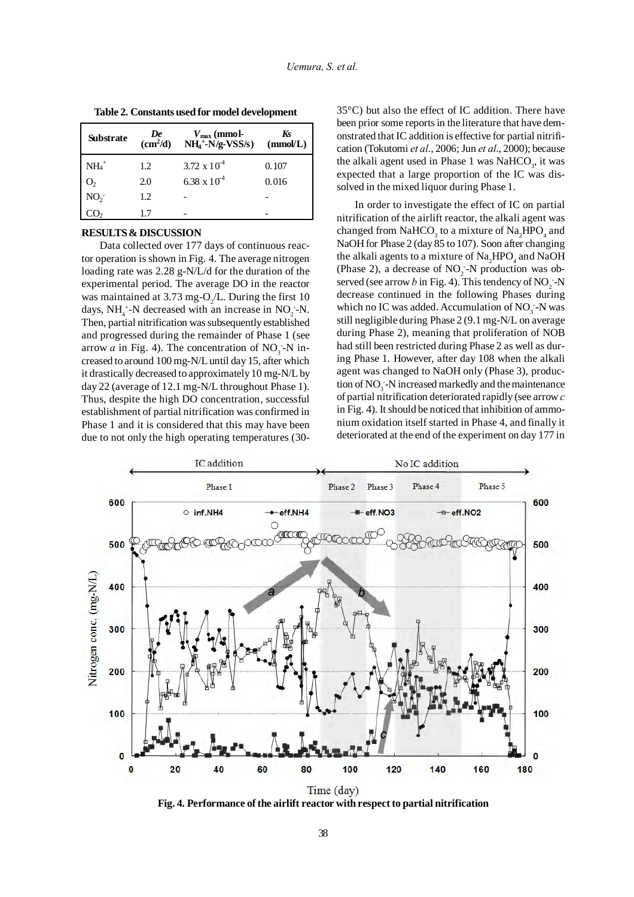| <b>Substrate</b> | De<br>$\overline{\text{cm}^2/\text{d}}$ | $V_{\text{max}}$ (mmol-<br>$NH4+-N/g-VSS/s)$ | Ks<br>(mmol/L) |
|------------------|-----------------------------------------|----------------------------------------------|----------------|
| $NH4+$           | 1.2                                     | $3.72 \times 10^{-4}$                        | 0.107          |
| O <sub>2</sub>   | 2.0                                     | 6.38 x $10^{-4}$                             | 0.016          |
| NO <sub>2</sub>  | 1.2                                     |                                              |                |
|                  |                                         |                                              |                |

**Table 2. Constants used for model development**

### **RESULTS & DISCUSSION**

Data collected over 177 days of continuous reactor operation is shown in Fig. 4. The average nitrogen loading rate was 2.28 g-N/L/d for the duration of the experimental period. The average DO in the reactor was maintained at 3.73 mg-O<sub>2</sub>/L. During the first 10 days,  $NH_4^+$ -N decreased with an increase in  $NO_2$ -N. Then, partial nitrification was subsequently established and progressed during the remainder of Phase 1 (see arrow *a* in Fig. 4). The concentration of  $NO_3$ -N increased to around 100 mg-N/L until day 15, after which it drastically decreased to approximately 10 mg-N/L by day 22 (average of 12.1 mg-N/L throughout Phase 1). Thus, despite the high DO concentration, successful establishment of partial nitrification was confirmed in Phase 1 and it is considered that this may have been due to not only the high operating temperatures (3035°C) but also the effect of IC addition. There have been prior some reports in the literature that have demonstrated that IC addition is effective for partial nitrification (Tokutomi *et al*., 2006; Jun *et al*., 2000); because the alkali agent used in Phase 1 was  $NaHCO<sub>3</sub>$ , it was expected that a large proportion of the IC was dissolved in the mixed liquor during Phase 1.

In order to investigate the effect of IC on partial nitrification of the airlift reactor, the alkali agent was changed from  $\mathrm{NaHCO}_3$  to a mixture of  $\mathrm{Na}_2\mathrm{HPO}_4$  and NaOH for Phase 2 (day 85 to 107). Soon after changing the alkali agents to a mixture of  $\mathrm{Na}_{2}\mathrm{HPO}_{4}$  and  $\mathrm{NaOH}$ (Phase 2), a decrease of  $NO<sub>2</sub>$ -N production was observed (see arrow *b* in Fig. 4). This tendency of  $NO_2$  -N decrease continued in the following Phases during which no IC was added. Accumulation of  $NO_3$  -N was still negligible during Phase 2 (9.1 mg-N/L on average during Phase 2), meaning that proliferation of NOB had still been restricted during Phase 2 as well as during Phase 1. However, after day 108 when the alkali agent was changed to NaOH only (Phase 3), production of  $NO<sub>3</sub>$ -N increased markedly and the maintenance of partial nitrification deteriorated rapidly (see arrow *c* in Fig. 4). It should be noticed that inhibition of ammonium oxidation itself started in Phase 4, and finally it deteriorated at the end of the experiment on day 177 in



**Fig. 4. Performance of the airlift reactor with respect to partial nitrification**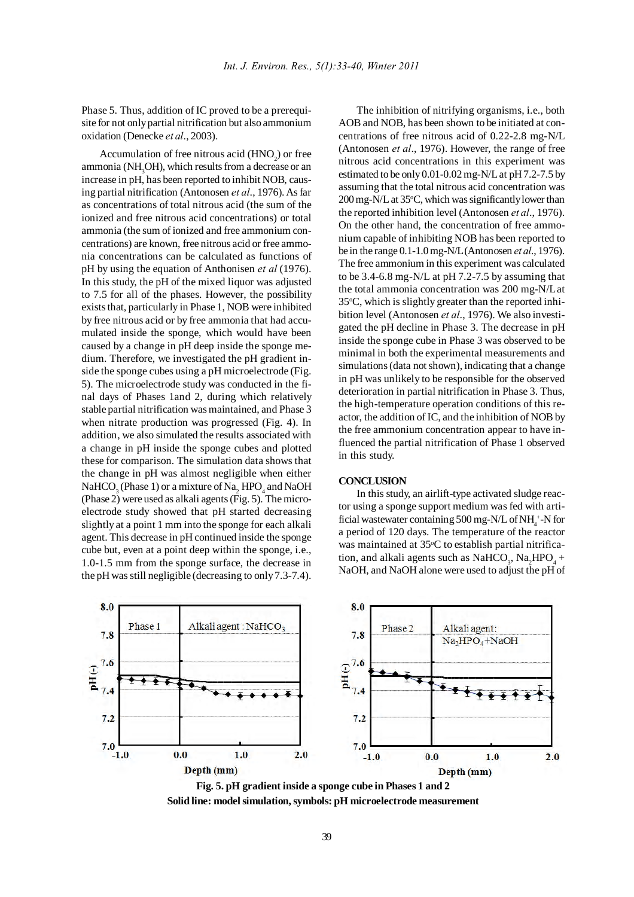Phase 5. Thus, addition of IC proved to be a prerequisite for not only partial nitrification but also ammonium oxidation (Denecke *et al*., 2003).

Accumulation of free nitrous acid  $(HNO<sub>2</sub>)$  or free  $a$ mmonia (NH<sub>3</sub>OH), which results from a decrease or an increase in pH, has been reported to inhibit NOB, causing partial nitrification (Antonosen *et al*., 1976). As far as concentrations of total nitrous acid (the sum of the ionized and free nitrous acid concentrations) or total ammonia (the sum of ionized and free ammonium concentrations) are known, free nitrous acid or free ammonia concentrations can be calculated as functions of pH by using the equation of Anthonisen *et al* (1976). In this study, the pH of the mixed liquor was adjusted to 7.5 for all of the phases. However, the possibility exists that, particularly in Phase 1, NOB were inhibited by free nitrous acid or by free ammonia that had accumulated inside the sponge, which would have been caused by a change in pH deep inside the sponge medium. Therefore, we investigated the pH gradient inside the sponge cubes using a pH microelectrode (Fig. 5). The microelectrode study was conducted in the final days of Phases 1and 2, during which relatively stable partial nitrification was maintained, and Phase 3 when nitrate production was progressed (Fig. 4). In addition, we also simulated the results associated with a change in pH inside the sponge cubes and plotted these for comparison. The simulation data shows that the change in pH was almost negligible when either  $\mathrm{NaHCO}_{3}$  (Phase 1) or a mixture of  $\mathrm{Na}_{2}$  HPO<sub>4</sub> and NaOH (Phase 2) were used as alkali agents (Fig. 5). The microelectrode study showed that pH started decreasing slightly at a point 1 mm into the sponge for each alkali agent. This decrease in pH continued inside the sponge cube but, even at a point deep within the sponge, i.e., 1.0-1.5 mm from the sponge surface, the decrease in the pH was still negligible (decreasing to only 7.3-7.4).

The inhibition of nitrifying organisms, i.e., both AOB and NOB, has been shown to be initiated at concentrations of free nitrous acid of 0.22-2.8 mg-N/L (Antonosen *et al*., 1976). However, the range of free nitrous acid concentrations in this experiment was estimated to be only 0.01-0.02 mg-N/L at pH 7.2-7.5 by assuming that the total nitrous acid concentration was 200 mg-N/L at 35°C, which was significantly lower than the reported inhibition level (Antonosen *et al*., 1976). On the other hand, the concentration of free ammonium capable of inhibiting NOB has been reported to be in the range 0.1-1.0 mg-N/L(Antonosen *et al*., 1976). The free ammonium in this experiment was calculated to be 3.4-6.8 mg-N/L at pH 7.2-7.5 by assuming that the total ammonia concentration was 200 mg-N/Lat 35°C, which is slightly greater than the reported inhibition level (Antonosen *et al*., 1976). We also investigated the pH decline in Phase 3. The decrease in pH inside the sponge cube in Phase 3 was observed to be minimal in both the experimental measurements and simulations (data not shown), indicating that a change in pH was unlikely to be responsible for the observed deterioration in partial nitrification in Phase 3. Thus, the high-temperature operation conditions of this reactor, the addition of IC, and the inhibition of NOB by the free ammonium concentration appear to have influenced the partial nitrification of Phase 1 observed in this study.

### **CONCLUSION**

In this study, an airlift-type activated sludge reactor using a sponge support medium was fed with artificial wastewater containing 500 mg-N/L of NH<sub>4</sub>+-N for a period of 120 days. The temperature of the reactor was maintained at 35°C to establish partial nitrification, and alkali agents such as  $\text{NaHCO}_3$ ,  $\text{Na}_2\text{HPO}_4 +$ NaOH, and NaOH alone were used to adjust the pH of